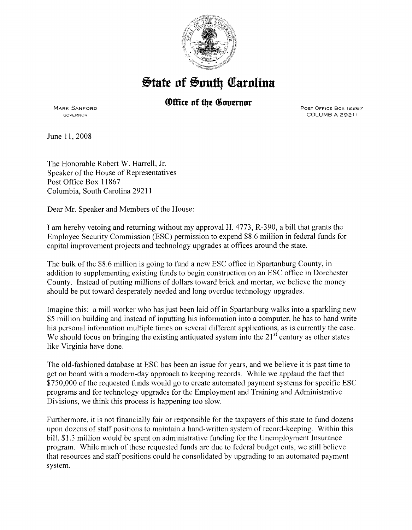

## **State of South Carolina**

## *®ffice of the Governor*

MARK SANFORD GOVERNOR

POST OFFICE Box 12267 COLUMBIA 29211

June 11, 2008

The Honorable Robert W. Harrell, Jr. Speaker of the House of Representatives Post Office Box 11867 Columbia, South Carolina 29211

Dear Mr. Speaker and Members of the House:

I am hereby vetoing and returning without my approval H. 4773, R-390, a bill that grants the Employee Security Commission (ESC) permission to expend \$8.6 million in federal funds for capital improvement projects and technology upgrades at offices around the state.

The bulk of the \$8.6 million is going to fund a new ESC office in Spartanburg County, in addition to supplementing existing funds to begin construction on an ESC office in Dorchester County. Instead of putting millions of dollars toward brick and mortar, we believe the money should be put toward desperately needed and long overdue technology upgrades.

Imagine this: a mill worker who has just been laid off in Spartanburg walks into a sparkling new \$5 million building and instead of inputting his information into a computer, he has to hand write his personal information multiple times on several different applications, as is currently the case. We should focus on bringing the existing antiquated system into the  $21<sup>st</sup>$  century as other states like Virginia have done.

The old-fashioned database at ESC has been an issue for years, and we believe it is past time to get on board with a modem-day approach to keeping records. While we applaud the fact that \$750,000 of the requested funds would go to create automated payment systems for specific ESC programs and for technology upgrades for the Employment and Training and Administrative Divisions, we think this process is happening too slow.

Furthermore, it is not financially fair or responsible for the taxpayers of this state to fund dozens upon dozens of staff positions to maintain a hand-written system of record-keeping. Within this bill, \$1.3 million would be spent on administrative funding for the Unemployment Insurance program. While much of these requested funds are due to federal budget cuts, we still believe that resources and staffpositions could be consolidated by upgrading to an automated payment system.